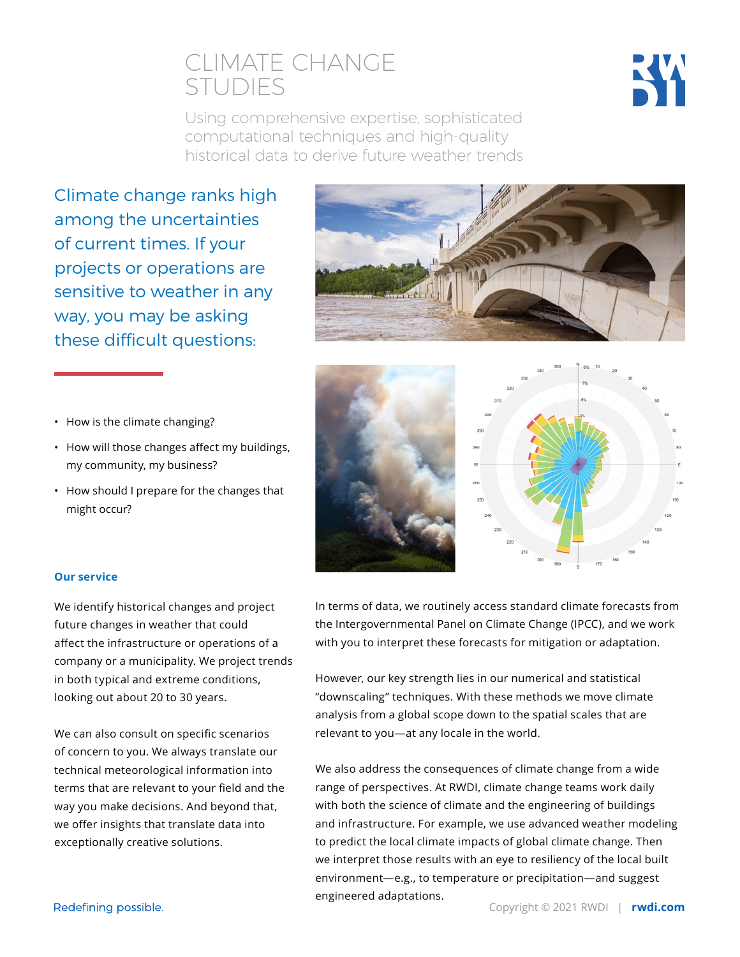# CLIMATE CHANGE STUDIES



Using comprehensive expertise, sophisticated computational techniques and high-quality historical data to derive future weather trends

Climate change ranks high among the uncertainties of current times. If your projects or operations are sensitive to weather in any way, you may be asking these difficult questions:



- How will those changes affect my buildings, my community, my business?
- How should I prepare for the changes that might occur?





#### **Our service**

We identify historical changes and project future changes in weather that could affect the infrastructure or operations of a company or a municipality. We project trends in both typical and extreme conditions, looking out about 20 to 30 years.

We can also consult on specific scenarios of concern to you. We always translate our technical meteorological information into terms that are relevant to your field and the way you make decisions. And beyond that, we offer insights that translate data into exceptionally creative solutions.

In terms of data, we routinely access standard climate forecasts from the Intergovernmental Panel on Climate Change (IPCC), and we work with you to interpret these forecasts for mitigation or adaptation.

However, our key strength lies in our numerical and statistical "downscaling" techniques. With these methods we move climate analysis from a global scope down to the spatial scales that are relevant to you—at any locale in the world.

We also address the consequences of climate change from a wide range of perspectives. At RWDI, climate change teams work daily with both the science of climate and the engineering of buildings and infrastructure. For example, we use advanced weather modeling to predict the local climate impacts of global climate change. Then we interpret those results with an eye to resiliency of the local built environment—e.g., to temperature or precipitation—and suggest engineered adaptations.